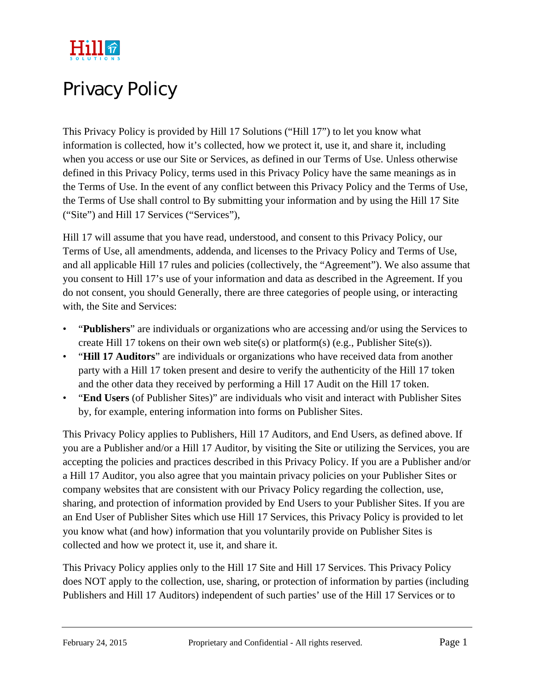

# Privacy Policy

This Privacy Policy is provided by Hill 17 Solutions ("Hill 17") to let you know what information is collected, how it's collected, how we protect it, use it, and share it, including when you access or use our Site or Services, as defined in our Terms of Use. Unless otherwise defined in this Privacy Policy, terms used in this Privacy Policy have the same meanings as in the Terms of Use. In the event of any conflict between this Privacy Policy and the Terms of Use, the Terms of Use shall control to By submitting your information and by using the Hill 17 Site ("Site") and Hill 17 Services ("Services"),

Hill 17 will assume that you have read, understood, and consent to this Privacy Policy, our Terms of Use, all amendments, addenda, and licenses to the Privacy Policy and Terms of Use, and all applicable Hill 17 rules and policies (collectively, the "Agreement"). We also assume that you consent to Hill 17's use of your information and data as described in the Agreement. If you do not consent, you should Generally, there are three categories of people using, or interacting with, the Site and Services:

- "**Publishers**" are individuals or organizations who are accessing and/or using the Services to create Hill 17 tokens on their own web site(s) or platform(s) (e.g., Publisher Site(s)).
- "**Hill 17 Auditors**" are individuals or organizations who have received data from another party with a Hill 17 token present and desire to verify the authenticity of the Hill 17 token and the other data they received by performing a Hill 17 Audit on the Hill 17 token.
- "**End Users** (of Publisher Sites)" are individuals who visit and interact with Publisher Sites by, for example, entering information into forms on Publisher Sites.

This Privacy Policy applies to Publishers, Hill 17 Auditors, and End Users, as defined above. If you are a Publisher and/or a Hill 17 Auditor, by visiting the Site or utilizing the Services, you are accepting the policies and practices described in this Privacy Policy. If you are a Publisher and/or a Hill 17 Auditor, you also agree that you maintain privacy policies on your Publisher Sites or company websites that are consistent with our Privacy Policy regarding the collection, use, sharing, and protection of information provided by End Users to your Publisher Sites. If you are an End User of Publisher Sites which use Hill 17 Services, this Privacy Policy is provided to let you know what (and how) information that you voluntarily provide on Publisher Sites is collected and how we protect it, use it, and share it.

This Privacy Policy applies only to the Hill 17 Site and Hill 17 Services. This Privacy Policy does NOT apply to the collection, use, sharing, or protection of information by parties (including Publishers and Hill 17 Auditors) independent of such parties' use of the Hill 17 Services or to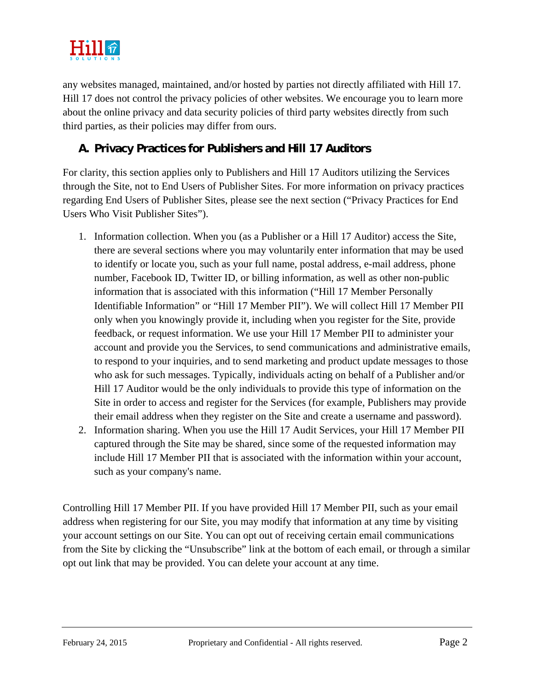

any websites managed, maintained, and/or hosted by parties not directly affiliated with Hill 17. Hill 17 does not control the privacy policies of other websites. We encourage you to learn more about the online privacy and data security policies of third party websites directly from such third parties, as their policies may differ from ours.

#### **A. Privacy Practices for Publishers and Hill 17 Auditors**

For clarity, this section applies only to Publishers and Hill 17 Auditors utilizing the Services through the Site, not to End Users of Publisher Sites. For more information on privacy practices regarding End Users of Publisher Sites, please see the next section ("Privacy Practices for End Users Who Visit Publisher Sites").

- 1. Information collection. When you (as a Publisher or a Hill 17 Auditor) access the Site, there are several sections where you may voluntarily enter information that may be used to identify or locate you, such as your full name, postal address, e-mail address, phone number, Facebook ID, Twitter ID, or billing information, as well as other non-public information that is associated with this information ("Hill 17 Member Personally Identifiable Information" or "Hill 17 Member PII"). We will collect Hill 17 Member PII only when you knowingly provide it, including when you register for the Site, provide feedback, or request information. We use your Hill 17 Member PII to administer your account and provide you the Services, to send communications and administrative emails, to respond to your inquiries, and to send marketing and product update messages to those who ask for such messages. Typically, individuals acting on behalf of a Publisher and/or Hill 17 Auditor would be the only individuals to provide this type of information on the Site in order to access and register for the Services (for example, Publishers may provide their email address when they register on the Site and create a username and password).
- 2. Information sharing. When you use the Hill 17 Audit Services, your Hill 17 Member PII captured through the Site may be shared, since some of the requested information may include Hill 17 Member PII that is associated with the information within your account, such as your company's name.

Controlling Hill 17 Member PII. If you have provided Hill 17 Member PII, such as your email address when registering for our Site, you may modify that information at any time by visiting your account settings on our Site. You can opt out of receiving certain email communications from the Site by clicking the "Unsubscribe" link at the bottom of each email, or through a similar opt out link that may be provided. You can delete your account at any time.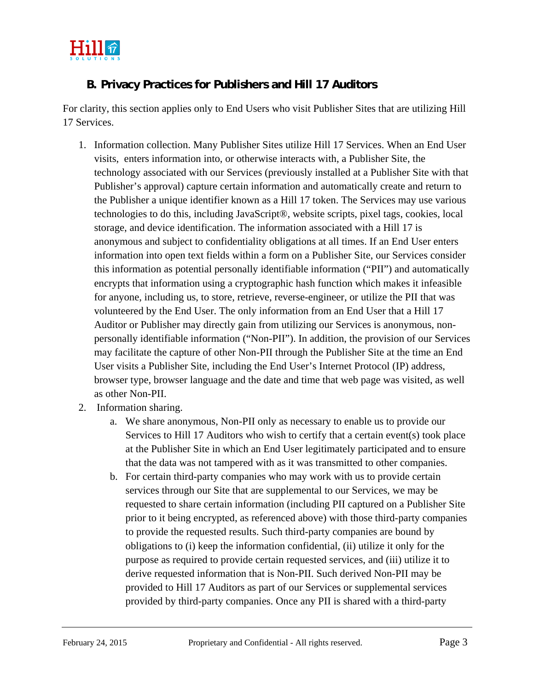

#### **B. Privacy Practices for Publishers and Hill 17 Auditors**

For clarity, this section applies only to End Users who visit Publisher Sites that are utilizing Hill 17 Services.

- 1. Information collection. Many Publisher Sites utilize Hill 17 Services. When an End User visits, enters information into, or otherwise interacts with, a Publisher Site, the technology associated with our Services (previously installed at a Publisher Site with that Publisher's approval) capture certain information and automatically create and return to the Publisher a unique identifier known as a Hill 17 token. The Services may use various technologies to do this, including JavaScript®, website scripts, pixel tags, cookies, local storage, and device identification. The information associated with a Hill 17 is anonymous and subject to confidentiality obligations at all times. If an End User enters information into open text fields within a form on a Publisher Site, our Services consider this information as potential personally identifiable information ("PII") and automatically encrypts that information using a cryptographic hash function which makes it infeasible for anyone, including us, to store, retrieve, reverse-engineer, or utilize the PII that was volunteered by the End User. The only information from an End User that a Hill 17 Auditor or Publisher may directly gain from utilizing our Services is anonymous, nonpersonally identifiable information ("Non-PII"). In addition, the provision of our Services may facilitate the capture of other Non-PII through the Publisher Site at the time an End User visits a Publisher Site, including the End User's Internet Protocol (IP) address, browser type, browser language and the date and time that web page was visited, as well as other Non-PII.
- 2. Information sharing.
	- a. We share anonymous, Non-PII only as necessary to enable us to provide our Services to Hill 17 Auditors who wish to certify that a certain event(s) took place at the Publisher Site in which an End User legitimately participated and to ensure that the data was not tampered with as it was transmitted to other companies.
	- b. For certain third-party companies who may work with us to provide certain services through our Site that are supplemental to our Services, we may be requested to share certain information (including PII captured on a Publisher Site prior to it being encrypted, as referenced above) with those third-party companies to provide the requested results. Such third-party companies are bound by obligations to (i) keep the information confidential, (ii) utilize it only for the purpose as required to provide certain requested services, and (iii) utilize it to derive requested information that is Non-PII. Such derived Non-PII may be provided to Hill 17 Auditors as part of our Services or supplemental services provided by third-party companies. Once any PII is shared with a third-party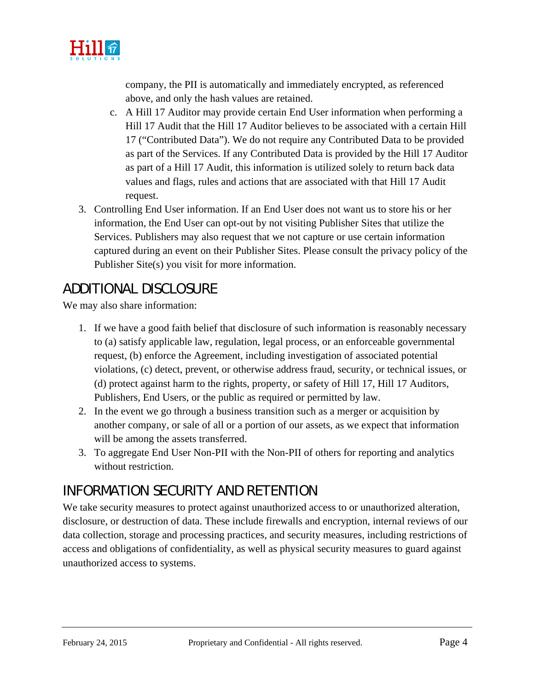

company, the PII is automatically and immediately encrypted, as referenced above, and only the hash values are retained.

- c. A Hill 17 Auditor may provide certain End User information when performing a Hill 17 Audit that the Hill 17 Auditor believes to be associated with a certain Hill 17 ("Contributed Data"). We do not require any Contributed Data to be provided as part of the Services. If any Contributed Data is provided by the Hill 17 Auditor as part of a Hill 17 Audit, this information is utilized solely to return back data values and flags, rules and actions that are associated with that Hill 17 Audit request.
- 3. Controlling End User information. If an End User does not want us to store his or her information, the End User can opt-out by not visiting Publisher Sites that utilize the Services. Publishers may also request that we not capture or use certain information captured during an event on their Publisher Sites. Please consult the privacy policy of the Publisher Site(s) you visit for more information.

#### ADDITIONAL DISCLOSURE

We may also share information:

- 1. If we have a good faith belief that disclosure of such information is reasonably necessary to (a) satisfy applicable law, regulation, legal process, or an enforceable governmental request, (b) enforce the Agreement, including investigation of associated potential violations, (c) detect, prevent, or otherwise address fraud, security, or technical issues, or (d) protect against harm to the rights, property, or safety of Hill 17, Hill 17 Auditors, Publishers, End Users, or the public as required or permitted by law.
- 2. In the event we go through a business transition such as a merger or acquisition by another company, or sale of all or a portion of our assets, as we expect that information will be among the assets transferred.
- 3. To aggregate End User Non-PII with the Non-PII of others for reporting and analytics without restriction.

#### INFORMATION SECURITY AND RETENTION

We take security measures to protect against unauthorized access to or unauthorized alteration, disclosure, or destruction of data. These include firewalls and encryption, internal reviews of our data collection, storage and processing practices, and security measures, including restrictions of access and obligations of confidentiality, as well as physical security measures to guard against unauthorized access to systems.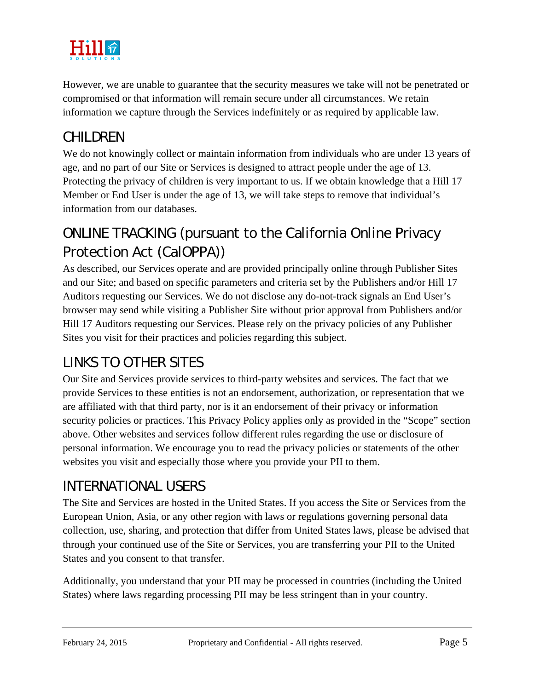

However, we are unable to guarantee that the security measures we take will not be penetrated or compromised or that information will remain secure under all circumstances. We retain information we capture through the Services indefinitely or as required by applicable law.

## CHILDREN

We do not knowingly collect or maintain information from individuals who are under 13 years of age, and no part of our Site or Services is designed to attract people under the age of 13. Protecting the privacy of children is very important to us. If we obtain knowledge that a Hill 17 Member or End User is under the age of 13, we will take steps to remove that individual's information from our databases.

# ONLINE TRACKING (pursuant to the California Online Privacy Protection Act (CalOPPA))

As described, our Services operate and are provided principally online through Publisher Sites and our Site; and based on specific parameters and criteria set by the Publishers and/or Hill 17 Auditors requesting our Services. We do not disclose any do-not-track signals an End User's browser may send while visiting a Publisher Site without prior approval from Publishers and/or Hill 17 Auditors requesting our Services. Please rely on the privacy policies of any Publisher Sites you visit for their practices and policies regarding this subject.

## LINKS TO OTHER SITES

Our Site and Services provide services to third-party websites and services. The fact that we provide Services to these entities is not an endorsement, authorization, or representation that we are affiliated with that third party, nor is it an endorsement of their privacy or information security policies or practices. This Privacy Policy applies only as provided in the "Scope" section above. Other websites and services follow different rules regarding the use or disclosure of personal information. We encourage you to read the privacy policies or statements of the other websites you visit and especially those where you provide your PII to them.

## INTERNATIONAL USERS

The Site and Services are hosted in the United States. If you access the Site or Services from the European Union, Asia, or any other region with laws or regulations governing personal data collection, use, sharing, and protection that differ from United States laws, please be advised that through your continued use of the Site or Services, you are transferring your PII to the United States and you consent to that transfer.

Additionally, you understand that your PII may be processed in countries (including the United States) where laws regarding processing PII may be less stringent than in your country.